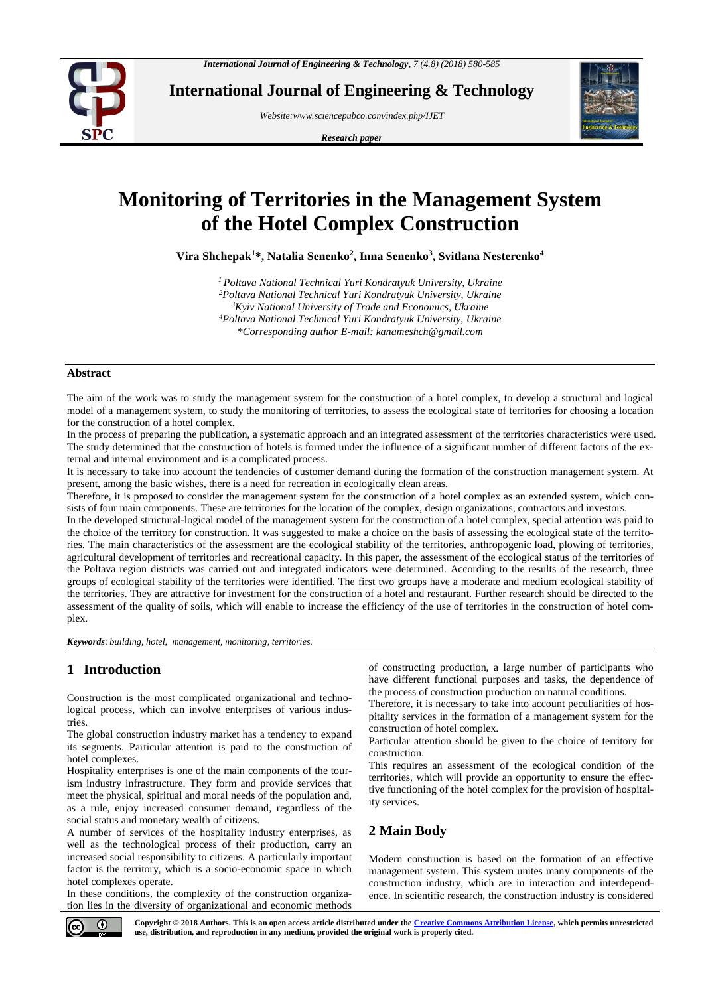

**International Journal of Engineering & Technology**

*Website[:www.sciencepubco.com/index.php/IJET](http://www.sciencepubco.com/index.php/IJET)*

*Research paper*



# **Monitoring of Territories in the Management System of the Hotel Complex Construction**

**Vira Shchepak<sup>1</sup>\*, Natalia Senenko<sup>2</sup> , Inna Senenko<sup>3</sup> , Svitlana Nesterenko<sup>4</sup>**

 *Poltava National Technical Yuri Kondratyuk University, Ukraine Poltava National Technical Yuri Kondratyuk University, Ukraine Kyiv National University of Trade and Economics, Ukraine Poltava National Technical Yuri Kondratyuk University, Ukraine \*Corresponding author E-mail: kanameshch@gmail.com*

#### **Abstract**

The aim of the work was to study the management system for the construction of a hotel complex, to develop a structural and logical model of a management system, to study the monitoring of territories, to assess the ecological state of territories for choosing a location for the construction of a hotel complex.

In the process of preparing the publication, a systematic approach and an integrated assessment of the territories characteristics were used. The study determined that the construction of hotels is formed under the influence of a significant number of different factors of the external and internal environment and is a complicated process.

It is necessary to take into account the tendencies of customer demand during the formation of the construction management system. At present, among the basic wishes, there is a need for recreation in ecologically clean areas.

Therefore, it is proposed to consider the management system for the construction of a hotel complex as an extended system, which consists of four main components. These are territories for the location of the complex, design organizations, contractors and investors.

In the developed structural-logical model of the management system for the construction of a hotel complex, special attention was paid to the choice of the territory for construction. It was suggested to make a choice on the basis of assessing the ecological state of the territories. The main characteristics of the assessment are the ecological stability of the territories, anthropogenic load, plowing of territories, agricultural development of territories and recreational capacity. In this paper, the assessment of the ecological status of the territories of the Poltava region districts was carried out and integrated indicators were determined. According to the results of the research, three groups of ecological stability of the territories were identified. The first two groups have a moderate and medium ecological stability of the territories. They are attractive for investment for the construction of a hotel and restaurant. Further research should be directed to the assessment of the quality of soils, which will enable to increase the efficiency of the use of territories in the construction of hotel complex.

*Keywords*: *building, hotel, management, monitoring, territories.*

### **1 Introduction**

Construction is the most complicated organizational and technological process, which can involve enterprises of various industries.

The global construction industry market has a tendency to expand its segments. Particular attention is paid to the construction of hotel complexes.

Hospitality enterprises is one of the main components of the tourism industry infrastructure. They form and provide services that meet the physical, spiritual and moral needs of the population and, as a rule, enjoy increased consumer demand, regardless of the social status and monetary wealth of citizens.

A number of services of the hospitality industry enterprises, as well as the technological process of their production, carry an increased social responsibility to citizens. A particularly important factor is the territory, which is a socio-economic space in which hotel complexes operate.

In these conditions, the complexity of the construction organization lies in the diversity of organizational and economic methods of constructing production, a large number of participants who have different functional purposes and tasks, the dependence of the process of construction production on natural conditions.

Therefore, it is necessary to take into account peculiarities of hospitality services in the formation of a management system for the construction of hotel complex.

Particular attention should be given to the choice of territory for construction.

This requires an assessment of the ecological condition of the territories, which will provide an opportunity to ensure the effective functioning of the hotel complex for the provision of hospitality services.

### **2 Main Body**

Modern construction is based on the formation of an effective management system. This system unites many components of the construction industry, which are in interaction and interdependence. In scientific research, the construction industry is considered



**Copyright © 2018 Authors. This is an open access article distributed under th[e Creative Commons Attribution License,](http://creativecommons.org/licenses/by/3.0/) which permits unrestricted use, distribution, and reproduction in any medium, provided the original work is properly cited.**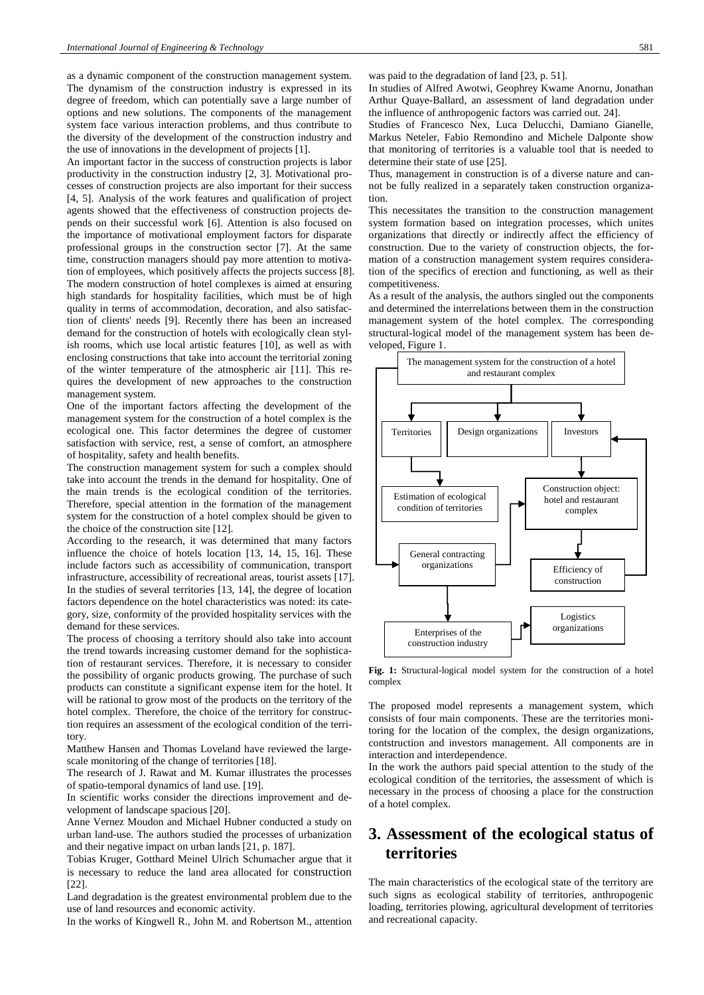as a dynamic component of the construction management system. The dynamism of the construction industry is expressed in its degree of freedom, which can potentially save a large number of options and new solutions. The components of the management system face various interaction problems, and thus contribute to the diversity of the development of the construction industry and the use of innovations in the development of projects [1].

An important factor in the success of construction projects is labor productivity in the construction industry [2, 3]. Motivational processes of construction projects are also important for their success [4, 5]. Analysis of the work features and qualification of project agents showed that the effectiveness of construction projects depends on their successful work [6]. Attention is also focused on the importance of motivational employment factors for disparate professional groups in the construction sector [7]. At the same time, construction managers should pay more attention to motivation of employees, which positively affects the projects success [8]. The modern construction of hotel complexes is aimed at ensuring high standards for hospitality facilities, which must be of high quality in terms of accommodation, decoration, and also satisfaction of clients' needs [9]. Recently there has been an increased demand for the construction of hotels with ecologically clean stylish rooms, which use local artistic features [10], as well as with enclosing constructions that take into account the territorial zoning of the winter temperature of the atmospheric air [11]. This requires the development of new approaches to the construction management system.

One of the important factors affecting the development of the management system for the construction of a hotel complex is the ecological one. This factor determines the degree of customer satisfaction with service, rest, a sense of comfort, an atmosphere of hospitality, safety and health benefits.

The construction management system for such a complex should take into account the trends in the demand for hospitality. One of the main trends is the ecological condition of the territories. Therefore, special attention in the formation of the management system for the construction of a hotel complex should be given to the choice of the construction site [12].

According to the research, it was determined that many factors influence the choice of hotels location [13, 14, 15, 16]. These include factors such as accessibility of communication, transport infrastructure, accessibility of recreational areas, tourist assets [17]. In the studies of several territories [13, 14], the degree of location factors dependence on the hotel characteristics was noted: its category, size, conformity of the provided hospitality services with the demand for these services.

The process of choosing a territory should also take into account the trend towards increasing customer demand for the sophistication of restaurant services. Therefore, it is necessary to consider the possibility of organic products growing. The purchase of such products can constitute a significant expense item for the hotel. It will be rational to grow most of the products on the territory of the hotel complex. Therefore, the choice of the territory for construction requires an assessment of the ecological condition of the territory.

Matthew Hansen and Thomas Loveland have reviewed the largescale monitoring of the change of territories [18].

The research of J. Rawat and M. Kumar illustrates the processes of spatio-temporal dynamics of land use. [19].

In scientific works consider the directions improvement and development of landscape spacious [20].

Anne Vernez Moudon and Michael Hubner conducted a study on urban land-use. The authors studied the processes of urbanization and their negative impact on urban lands [21, p. 187].

Tobias Kruger, Gotthard Meinel Ulrich Schumacher argue that it is necessary to reduce the land area allocated for construction [22].

Land degradation is the greatest environmental problem due to the use of land resources and economic activity.

In the works of Kingwell R., John M. and Robertson M., attention

was paid to the degradation of land [23, p. 51].

In studies of Alfred Awotwi, Geophrey Kwame Anornu, Jonathan Arthur Quaye-Ballard, an assessment of land degradation under the influence of anthropogenic factors was carried out. 24].

Studies of Francesco Nex, Luca Delucchi, Damiano Gianelle, Markus Neteler, Fabio Remondino and Michele Dalponte show that monitoring of territories is a valuable tool that is needed to determine their state of use [25].

Thus, management in construction is of a diverse nature and cannot be fully realized in a separately taken construction organization.

This necessitates the transition to the construction management system formation based on integration processes, which unites organizations that directly or indirectly affect the efficiency of construction. Due to the variety of construction objects, the formation of a construction management system requires consideration of the specifics of erection and functioning, as well as their competitiveness.

As a result of the analysis, the authors singled out the components and determined the interrelations between them in the construction management system of the hotel complex. The corresponding structural-logical model of the management system has been developed, Figure 1.



**Fig. 1:** Structural-logical model system for the construction of a hotel complex

The proposed model represents a management system, which consists of four main components. These are the territories monitoring for the location of the complex, the design organizations, contstruction and investors management. All components are in interaction and interdependence.

In the work the authors paid special attention to the study of the ecological condition of the territories, the assessment of which is necessary in the process of choosing a place for the construction of a hotel complex.

## **3. Assessment of the ecological status of territories**

The main characteristics of the ecological state of the territory are such signs as ecological stability of territories, anthropogenic loading, territories plowing, agricultural development of territories and recreational capacity.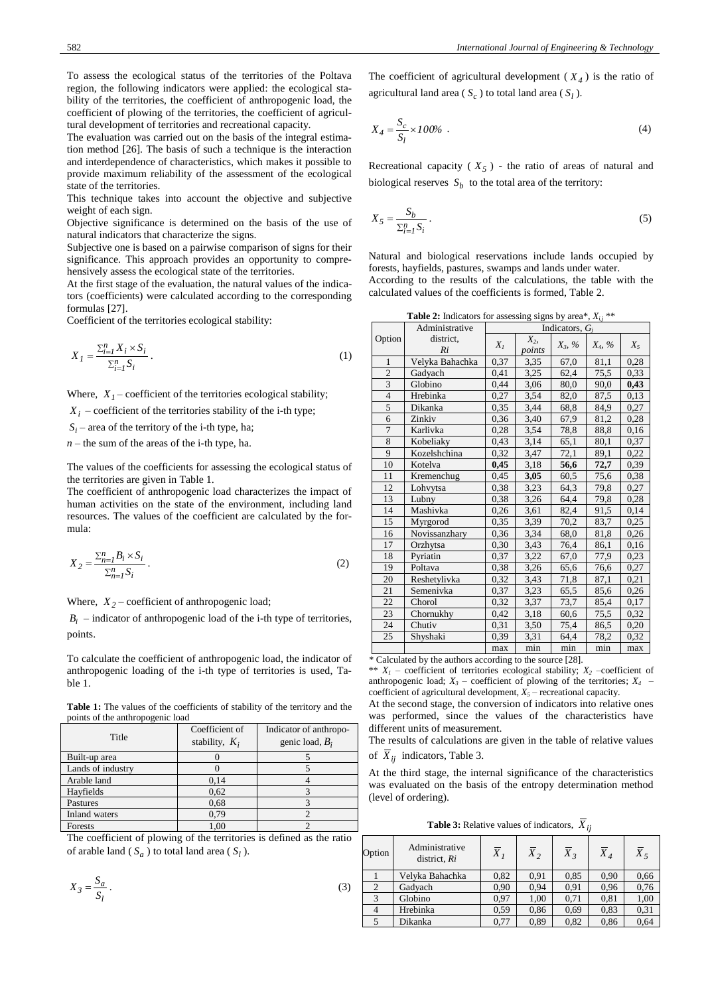To assess the ecological status of the territories of the Poltava region, the following indicators were applied: the ecological stability of the territories, the coefficient of anthropogenic load, the coefficient of plowing of the territories, the coefficient of agricultural development of territories and recreational capacity.

The evaluation was carried out on the basis of the integral estimation method [26]. The basis of such a technique is the interaction and interdependence of characteristics, which makes it possible to provide maximum reliability of the assessment of the ecological state of the territories.

This technique takes into account the objective and subjective weight of each sign.

Objective significance is determined on the basis of the use of natural indicators that characterize the signs.

Subjective one is based on a pairwise comparison of signs for their significance. This approach provides an opportunity to comprehensively assess the ecological state of the territories.

At the first stage of the evaluation, the natural values of the indicators (coefficients) were calculated according to the corresponding formulas [27].

Coefficient of the territories ecological stability:

$$
X_I = \frac{\sum_{i=1}^n X_i \times S_i}{\sum_{i=1}^n S_i} \,. \tag{1}
$$

Where,  $X<sub>1</sub>$  – coefficient of the territories ecological stability;

 $X_i$  – coefficient of the territories stability of the i-th type;

 $S_i$  – area of the territory of the i-th type, ha;

 $n$  – the sum of the areas of the i-th type, ha.

The values of the coefficients for assessing the ecological status of the territories are given in Table 1.

The coefficient of anthropogenic load characterizes the impact of human activities on the state of the environment, including land resources. The values of the coefficient are calculated by the formula:

$$
X_2 = \frac{\sum_{n=1}^n B_i \times S_i}{\sum_{n=1}^n S_i} \,. \tag{2}
$$

Where,  $X_2$  – coefficient of anthropogenic load;

 $B_i$  – indicator of anthropogenic load of the i-th type of territories, points.

To calculate the coefficient of anthropogenic load, the indicator of anthropogenic loading of the i-th type of territories is used, Table 1.

Table 1: The values of the coefficients of stability of the territory and the points of the anthropogenic load

| Title             | Coefficient of<br>stability, $K_i$ | Indicator of anthropo-<br>genic load, $B_i$ |
|-------------------|------------------------------------|---------------------------------------------|
| Built-up area     |                                    |                                             |
| Lands of industry |                                    |                                             |
| Arable land       | 0,14                               |                                             |
| Hayfields         | 0.62                               |                                             |
| Pastures          | 0.68                               |                                             |
| Inland waters     | 0.79                               |                                             |
| Forests           | 1.00                               |                                             |

The coefficient of plowing of the territories is defined as the ratio of arable land ( $S_a$ ) to total land area ( $S_l$ ).

$$
X_3 = \frac{S_a}{S_l} \,. \tag{3}
$$

The coefficient of agricultural development  $(X_4)$  is the ratio of agricultural land area  $(S_c)$  to total land area  $(S_l)$ .

$$
X_4 = \frac{S_c}{S_l} \times 100\% \tag{4}
$$

Recreational capacity  $(X_5)$  - the ratio of areas of natural and biological reserves  $S_b$  to the total area of the territory:

$$
X_5 = \frac{S_b}{\sum_{i=1}^n S_i} \,. \tag{5}
$$

Natural and biological reservations include lands occupied by forests, hayfields, pastures, swamps and lands under water. According to the results of the calculations, the table with the calculated values of the coefficients is formed, Table 2.

|  | <b>Table 2:</b> Indicators for assessing signs by area*, $X_{i,j}$ ** |  |
|--|-----------------------------------------------------------------------|--|
|  |                                                                       |  |

|                          | Administrative  | Indicators, $G_i$ |                 |              |                    |       |
|--------------------------|-----------------|-------------------|-----------------|--------------|--------------------|-------|
| Option                   | district,<br>Ri | $X_{I}$           | $X_2$<br>points | $X_3, \, \%$ | $X_4, \frac{9}{6}$ | $X_5$ |
| 1                        | Velyka Bahachka | 0,37              | 3.35            | 67,0         | 81,1               | 0,28  |
| $\overline{c}$           | Gadyach         | 0,41              | 3,25            | 62,4         | 75,5               | 0.33  |
| 3                        | Globino         | 0,44              | 3,06            | 80,0         | 90,0               | 0,43  |
| $\overline{\mathcal{L}}$ | Hrebinka        | 0,27              | 3,54            | 82,0         | 87,5               | 0,13  |
| 5                        | Dikanka         | 0,35              | 3,44            | 68,8         | 84,9               | 0,27  |
| 6                        | Zinkiv          | 0,36              | 3,40            | 67,9         | 81,2               | 0,28  |
| $\overline{7}$           | Karlivka        | 0,28              | 3,54            | 78,8         | 88,8               | 0,16  |
| 8                        | Kobeliaky       | 0,43              | 3,14            | 65,1         | 80,1               | 0,37  |
| 9                        | Kozelshchina    | 0,32              | 3,47            | 72,1         | 89,1               | 0,22  |
| 10                       | Kotelva         | 0,45              | 3,18            | 56,6         | 72,7               | 0,39  |
| 11                       | Kremenchug      | 0.45              | 3,05            | 60,5         | 75,6               | 0,38  |
| 12                       | Lohvytsa        | 0,38              | 3,23            | 64,3         | 79,8               | 0,27  |
| 13                       | Lubny           | 0,38              | 3,26            | 64,4         | 79,8               | 0,28  |
| 14                       | Mashivka        | 0,26              | 3,61            | 82,4         | 91,5               | 0,14  |
| 15                       | Myrgorod        | 0,35              | 3,39            | 70,2         | 83,7               | 0,25  |
| 16                       | Novissanzhary   | 0,36              | 3,34            | 68,0         | 81,8               | 0,26  |
| 17                       | Orzhytsa        | 0,30              | 3,43            | 76,4         | 86,1               | 0,16  |
| 18                       | Pyriatin        | 0,37              | 3,22            | 67,0         | 77,9               | 0,23  |
| 19                       | Poltava         | 0,38              | 3,26            | 65,6         | 76,6               | 0,27  |
| 20                       | Reshetylivka    | 0,32              | 3,43            | 71,8         | 87,1               | 0,21  |
| 21                       | Semenivka       | 0,37              | 3,23            | 65,5         | 85,6               | 0,26  |
| 22                       | Chorol          | 0,32              | 3,37            | 73,7         | 85,4               | 0,17  |
| 23                       | Chornukhy       | 0,42              | 3,18            | 60,6         | 75,5               | 0,32  |
| 24                       | Chutiv          | 0,31              | 3,50            | 75,4         | 86,5               | 0,20  |
| 25                       | Shyshaki        | 0,39              | 3,31            | 64,4         | 78,2               | 0,32  |
|                          |                 | max               | min             | min          | min                | max   |

*\** Calculated by the authors according to the source [28]. \*\*  $X_1$  – coefficient of territories ecological stability;  $X_2$  –coefficient of anthropogenic load;  $X_3$  – coefficient of plowing of the territories;  $X_4$  – coefficient of agricultural development, *X<sup>5</sup>* – recreational capacity.

At the second stage, the conversion of indicators into relative ones was performed, since the values of the characteristics have different units of measurement.

The results of calculations are given in the table of relative values

of *Xij* indicators, Table 3.

At the third stage, the internal significance of the characteristics was evaluated on the basis of the entropy determination method (level of ordering).

**Table 3:** Relative values of indicators,  $\overline{X}_{ii}$ 

| Option         | Administrative<br>district, Ri | $\overline{X}_1$ | $X_2$ | $\overline{X}_3$ | $\overline{X}_4$ | $\overline{X}_{5}$ |
|----------------|--------------------------------|------------------|-------|------------------|------------------|--------------------|
|                | Velyka Bahachka                | 0.82             | 0.91  | 0.85             | 0.90             | 0.66               |
| 2              | Gadyach                        | 0.90             | 0.94  | 0.91             | 0.96             | 0.76               |
| 3              | Globino                        | 0,97             | 1,00  | 0.71             | 0.81             | 1,00               |
| $\overline{4}$ | Hrebinka                       | 0.59             | 0,86  | 0.69             | 0.83             | 0.31               |
| 5              | Dikanka                        | 0.77             | 0.89  | 0,82             | 0.86             | 0,64               |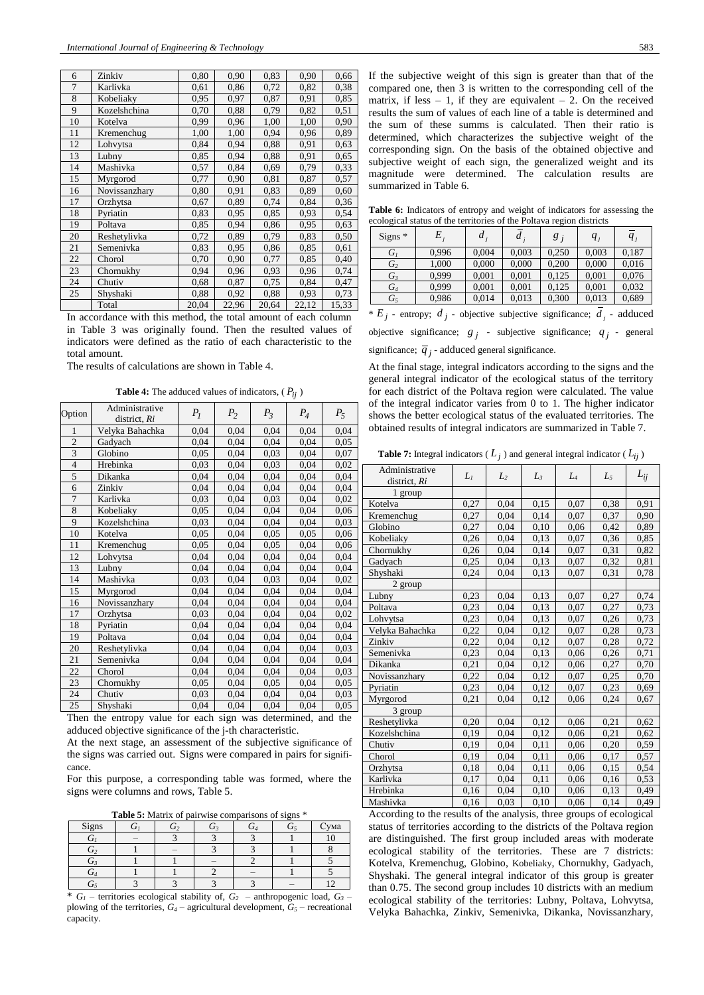| 6  | Zinkiv        | 0,80  | 0,90  | 0,83  | 0,90  | 0,66  |
|----|---------------|-------|-------|-------|-------|-------|
| 7  | Karlivka      | 0,61  | 0,86  | 0,72  | 0.82  | 0,38  |
| 8  | Kobeliaky     | 0.95  | 0.97  | 0,87  | 0,91  | 0.85  |
| 9  | Kozelshchina  | 0,70  | 0,88  | 0,79  | 0,82  | 0,51  |
| 10 | Kotelva       | 0.99  | 0,96  | 1,00  | 1,00  | 0,90  |
| 11 | Kremenchug    | 1,00  | 1,00  | 0,94  | 0,96  | 0,89  |
| 12 | Lohvytsa      | 0.84  | 0.94  | 0,88  | 0,91  | 0,63  |
| 13 | Lubny         | 0.85  | 0.94  | 0.88  | 0,91  | 0,65  |
| 14 | Mashivka      | 0.57  | 0.84  | 0,69  | 0.79  | 0,33  |
| 15 | Myrgorod      | 0,77  | 0,90  | 0,81  | 0,87  | 0,57  |
| 16 | Novissanzhary | 0,80  | 0,91  | 0,83  | 0.89  | 0,60  |
| 17 | Orzhytsa      | 0.67  | 0,89  | 0,74  | 0.84  | 0,36  |
| 18 | Pyriatin      | 0,83  | 0,95  | 0,85  | 0,93  | 0,54  |
| 19 | Poltava       | 0.85  | 0.94  | 0,86  | 0.95  | 0.63  |
| 20 | Reshetylivka  | 0,72  | 0,89  | 0,79  | 0.83  | 0,50  |
| 21 | Semenivka     | 0.83  | 0,95  | 0,86  | 0,85  | 0,61  |
| 22 | Chorol        | 0,70  | 0,90  | 0,77  | 0,85  | 0,40  |
| 23 | Chornukhy     | 0.94  | 0,96  | 0.93  | 0,96  | 0,74  |
| 24 | Chutiv        | 0,68  | 0,87  | 0.75  | 0.84  | 0,47  |
| 25 | Shyshaki      | 0.88  | 0,92  | 0.88  | 0.93  | 0,73  |
|    | Total         | 20,04 | 22,96 | 20,64 | 22,12 | 15,33 |

In accordance with this method, the total amount of each column in Table 3 was originally found. Then the resulted values of indicators were defined as the ratio of each characteristic to the total amount.

The results of calculations are shown in Table 4.

**Table 4:** The adduced values of indicators, ( *Pij* )

| Option         | Administrative<br>district, Ri | $P_1$ | $P_2$ | $P_3$ | $P_4$ | $P_5$ |
|----------------|--------------------------------|-------|-------|-------|-------|-------|
| 1              | Velyka Bahachka                | 0,04  | 0,04  | 0,04  | 0,04  | 0,04  |
| $\overline{2}$ | Gadyach                        | 0,04  | 0,04  | 0,04  | 0,04  | 0,05  |
| 3              | Globino                        | 0.05  | 0,04  | 0,03  | 0,04  | 0,07  |
| $\overline{4}$ | Hrebinka                       | 0,03  | 0,04  | 0,03  | 0,04  | 0,02  |
| 5              | Dikanka                        | 0,04  | 0,04  | 0,04  | 0,04  | 0,04  |
| 6              | Zinkiv                         | 0,04  | 0,04  | 0,04  | 0,04  | 0,04  |
| $\overline{7}$ | Karlivka                       | 0.03  | 0,04  | 0.03  | 0,04  | 0,02  |
| 8              | Kobeliaky                      | 0,05  | 0,04  | 0,04  | 0,04  | 0,06  |
| 9              | Kozelshchina                   | 0,03  | 0,04  | 0,04  | 0,04  | 0,03  |
| 10             | Kotelva                        | 0,05  | 0,04  | 0,05  | 0,05  | 0,06  |
| 11             | Kremenchug                     | 0,05  | 0,04  | 0,05  | 0,04  | 0,06  |
| 12             | Lohvytsa                       | 0,04  | 0,04  | 0,04  | 0,04  | 0,04  |
| 13             | Lubny                          | 0,04  | 0,04  | 0,04  | 0,04  | 0,04  |
| 14             | Mashivka                       | 0,03  | 0,04  | 0,03  | 0,04  | 0,02  |
| 15             | Myrgorod                       | 0,04  | 0,04  | 0,04  | 0,04  | 0,04  |
| 16             | Novissanzhary                  | 0,04  | 0,04  | 0,04  | 0,04  | 0,04  |
| 17             | Orzhytsa                       | 0,03  | 0,04  | 0,04  | 0,04  | 0,02  |
| 18             | Pyriatin                       | 0,04  | 0,04  | 0,04  | 0,04  | 0,04  |
| 19             | Poltava                        | 0,04  | 0,04  | 0,04  | 0,04  | 0,04  |
| 20             | Reshetylivka                   | 0,04  | 0,04  | 0,04  | 0,04  | 0,03  |
| 21             | Semenivka                      | 0,04  | 0,04  | 0,04  | 0,04  | 0,04  |
| 22             | Chorol                         | 0,04  | 0,04  | 0,04  | 0,04  | 0,03  |
| 23             | Chornukhy                      | 0,05  | 0,04  | 0,05  | 0,04  | 0,05  |
| 24             | Chutiv                         | 0,03  | 0,04  | 0,04  | 0,04  | 0,03  |
| 25             | Shyshaki                       | 0,04  | 0,04  | 0,04  | 0,04  | 0,05  |

Then the entropy value for each sign was determined, and the adduced objective significance of the j-th characteristic.

At the next stage, an assessment of the subjective significance of the signs was carried out. Signs were compared in pairs for significance.

For this purpose, a corresponding table was formed, where the signs were columns and rows, Table 5.

**Table 5:** Matrix of pairwise comparisons of signs \*

| Signs                 | $J$ i  | $\mathbf{u}_2$ | U3 | $J_A$ | J5 | $\sim$<br>`yma |
|-----------------------|--------|----------------|----|-------|----|----------------|
| ⌒<br>U 1              |        |                |    |       |    |                |
| $G_2$                 |        |                |    |       |    |                |
| $G_3$                 |        |                |    |       |    |                |
| $G_4$                 |        |                |    |       |    |                |
| G٢                    |        |                |    |       |    |                |
| the company<br>$\sim$ | $\sim$ | .              | .  |       | .  |                |

\* *G<sup>1</sup>* – territories ecological stability of, *G2* – anthropogenic load*, G<sup>3</sup>* – plowing of the territories,  $G_4$  – agricultural development,  $G_5$  – recreational capacity.

If the subjective weight of this sign is greater than that of the compared one, then 3 is written to the corresponding cell of the matrix, if less  $-1$ , if they are equivalent  $-2$ . On the received results the sum of values of each line of a table is determined and the sum of these summs is calculated. Then their ratio is determined, which characterizes the subjective weight of the corresponding sign. On the basis of the obtained objective and subjective weight of each sign, the generalized weight and its magnitude were determined. The calculation results are summarized in Table 6.

**Table 6:** Indicators of entropy and weight of indicators for assessing the ecological status of the territories of the Poltava region districts

| Signs $*$      | $E_{i}$ | d     | d     | $g_i$ | $q_i$ | $q_i$ |
|----------------|---------|-------|-------|-------|-------|-------|
| $G_I$          | 0.996   | 0,004 | 0,003 | 0,250 | 0,003 | 0,187 |
| G <sub>2</sub> | 1,000   | 0.000 | 0,000 | 0.200 | 0,000 | 0,016 |
| $G_3$          | 0.999   | 0,001 | 0,001 | 0.125 | 0,001 | 0,076 |
| $G_4$          | 0.999   | 0,001 | 0,001 | 0.125 | 0,001 | 0,032 |
| $G_5$          | 0,986   | 0,014 | 0,013 | 0,300 | 0,013 | 0,689 |
|                |         |       |       |       |       |       |

\*  $E_j$  - entropy;  $d_j$  - objective subjective significance;  $d_j$  - adduced

objective significance;  $g_j$  - subjective significance;  $q_j$  - general

significance;  $\overline{q}_j$  - adduced general significance.

At the final stage, integral indicators according to the signs and the general integral indicator of the ecological status of the territory for each district of the Poltava region were calculated. The value of the integral indicator varies from 0 to 1. The higher indicator shows the better ecological status of the evaluated territories. The obtained results of integral indicators are summarized in Table 7.

**Table 7:** Integral indicators ( $L_j$ ) and general integral indicator ( $L_{ij}$ )

| Administrative<br>district, Ri | $L_l$ | $L_2$ | $L_3$ | $L_4$ | L5   | $L_{ij}$ |
|--------------------------------|-------|-------|-------|-------|------|----------|
| 1 group                        |       |       |       |       |      |          |
| Kotelva                        | 0,27  | 0,04  | 0,15  | 0,07  | 0,38 | 0,91     |
| Kremenchug                     | 0,27  | 0,04  | 0,14  | 0,07  | 0,37 | 0,90     |
| Globino                        | 0.27  | 0,04  | 0,10  | 0,06  | 0,42 | 0.89     |
| Kobeliaky                      | 0,26  | 0,04  | 0,13  | 0.07  | 0,36 | 0,85     |
| Chornukhy                      | 0,26  | 0,04  | 0,14  | 0.07  | 0,31 | 0,82     |
| Gadyach                        | 0,25  | 0,04  | 0,13  | 0,07  | 0,32 | 0,81     |
| Shyshaki                       | 0.24  | 0,04  | 0.13  | 0.07  | 0,31 | 0,78     |
| 2 group                        |       |       |       |       |      |          |
| Lubny                          | 0,23  | 0,04  | 0,13  | 0,07  | 0,27 | 0,74     |
| Poltava                        | 0.23  | 0,04  | 0,13  | 0.07  | 0,27 | 0,73     |
| Lohvytsa                       | 0,23  | 0,04  | 0,13  | 0,07  | 0,26 | 0,73     |
| Velyka Bahachka                | 0.22  | 0,04  | 0,12  | 0.07  | 0,28 | 0,73     |
| Zinkiv                         | 0.22  | 0,04  | 0,12  | 0.07  | 0,28 | 0,72     |
| Semenivka                      | 0.23  | 0,04  | 0,13  | 0.06  | 0,26 | 0,71     |
| Dikanka                        | 0,21  | 0,04  | 0,12  | 0,06  | 0,27 | 0,70     |
| Novissanzhary                  | 0,22  | 0,04  | 0,12  | 0,07  | 0,25 | 0,70     |
| Pyriatin                       | 0,23  | 0,04  | 0,12  | 0,07  | 0,23 | 0,69     |
| Myrgorod                       | 0,21  | 0,04  | 0,12  | 0,06  | 0,24 | 0,67     |
| 3 group                        |       |       |       |       |      |          |
| Reshetylivka                   | 0,20  | 0,04  | 0,12  | 0,06  | 0,21 | 0,62     |
| Kozelshchina                   | 0,19  | 0,04  | 0,12  | 0,06  | 0,21 | 0,62     |
| Chutiv                         | 0,19  | 0,04  | 0,11  | 0,06  | 0,20 | 0,59     |
| Chorol                         | 0,19  | 0,04  | 0,11  | 0,06  | 0,17 | 0,57     |
| Orzhytsa                       | 0.18  | 0,04  | 0,11  | 0,06  | 0,15 | 0,54     |
| Karlivka                       | 0,17  | 0,04  | 0,11  | 0,06  | 0,16 | 0,53     |
| Hrebinka                       | 0,16  | 0,04  | 0,10  | 0,06  | 0,13 | 0,49     |
| Mashivka                       | 0,16  | 0,03  | 0,10  | 0,06  | 0,14 | 0,49     |

According to the results of the analysis, three groups of ecological status of territories according to the districts of the Poltava region are distinguished. The first group included areas with moderate ecological stability of the territories. These are 7 districts: Kotelva, Kremenchug, Globino, Kobeliaky, Chornukhy, Gadyach, Shyshaki. The general integral indicator of this group is greater than 0.75. The second group includes 10 districts with an medium ecological stability of the territories: Lubny, Poltava, Lohvytsa, Velyka Bahachka, Zinkiv, Semenivka, Dikanka, Novissanzhary,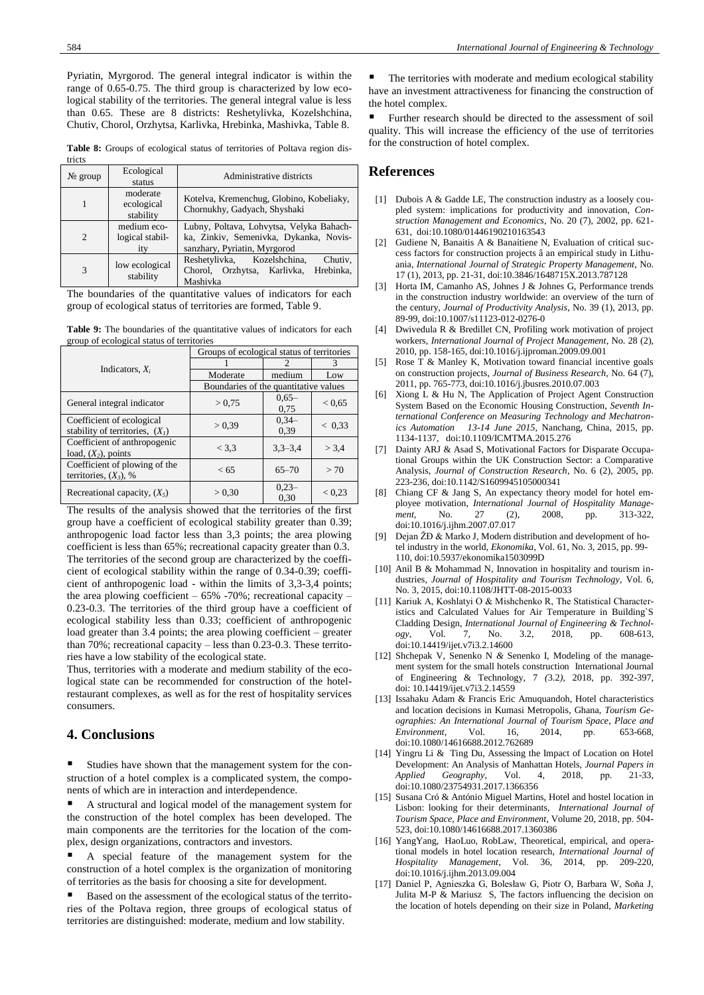Pyriatin, Myrgorod. The general integral indicator is within the range of 0.65-0.75. The third group is characterized by low ecological stability of the territories. The general integral value is less than 0.65. These are 8 districts: Reshetylivka, Kozelshchina, Chutiv, Chorol, Orzhytsa, Karlivka, Hrebinka, Mashivka, Table 8.

Table 8: Groups of ecological status of territories of Poltava region dis-

| tricts      |                                       |                                                                                                                    |  |  |  |  |
|-------------|---------------------------------------|--------------------------------------------------------------------------------------------------------------------|--|--|--|--|
| $N_2$ group | Ecological<br>status                  | Administrative districts                                                                                           |  |  |  |  |
|             | moderate<br>ecological<br>stability   | Kotelva, Kremenchug, Globino, Kobeliaky,<br>Chornukhy, Gadyach, Shyshaki                                           |  |  |  |  |
| 2           | medium eco-<br>logical stabil-<br>ity | Lubny, Poltava, Lohvytsa, Velyka Bahach-<br>ka, Zinkiv, Semenivka, Dykanka, Novis-<br>sanzhary, Pyriatin, Myrgorod |  |  |  |  |
| 3           | low ecological<br>stability           | Reshetylivka, Kozelshchina,<br>Chutiv.<br>Hrebinka.<br>Orzhytsa, Karlivka,<br>Chorol.<br>Mashivka                  |  |  |  |  |

The boundaries of the quantitative values of indicators for each group of ecological status of territories are formed, Table 9.

**Table 9:** The boundaries of the quantitative values of indicators for each group of ecological status of territories

|                                                                | Groups of ecological status of territories |                 |            |  |  |  |
|----------------------------------------------------------------|--------------------------------------------|-----------------|------------|--|--|--|
| Indicators, $X_i$                                              |                                            |                 |            |  |  |  |
|                                                                | Moderate                                   | medium          | Low        |  |  |  |
|                                                                | Boundaries of the quantitative values      |                 |            |  |  |  |
| General integral indicator                                     | > 0.75                                     | $0,65-$<br>0.75 | ${}< 0.65$ |  |  |  |
| Coefficient of ecological<br>stability of territories, $(X_i)$ | > 0.39                                     | $0,34-$<br>0,39 | < 0.33     |  |  |  |
| Coefficient of anthropogenic<br>load, $(X_2)$ , points         | $<$ 3.3                                    | $3,3-3,4$       | > 3.4      |  |  |  |
| Coefficient of plowing of the<br>territories, $(X_3)$ , %      | < 65                                       | $65 - 70$       | > 70       |  |  |  |
| Recreational capacity, $(X_5)$                                 | > 0.30                                     | $0,23-$<br>0,30 | < 0.23     |  |  |  |

The results of the analysis showed that the territories of the first group have a coefficient of ecological stability greater than 0.39; anthropogenic load factor less than 3,3 points; the area plowing coefficient is less than 65%; recreational capacity greater than 0.3. The territories of the second group are characterized by the coefficient of ecological stability within the range of 0.34-0.39; coefficient of anthropogenic load - within the limits of 3,3-3,4 points; the area plowing coefficient – 65% -70%; recreational capacity – 0.23-0.3. The territories of the third group have a coefficient of ecological stability less than 0.33; coefficient of anthropogenic load greater than 3.4 points; the area plowing coefficient – greater than 70%; recreational capacity – less than 0.23-0.3. These territories have a low stability of the ecological state.

Thus, territories with a moderate and medium stability of the ecological state can be recommended for construction of the hotelrestaurant complexes, as well as for the rest of hospitality services consumers.

### **4. Conclusions**

Studies have shown that the management system for the construction of a hotel complex is a complicated system, the components of which are in interaction and interdependence.

A structural and logical model of the management system for the construction of the hotel complex has been developed. The main components are the territories for the location of the complex, design organizations, contractors and investors.

A special feature of the management system for the construction of a hotel complex is the organization of monitoring of territories as the basis for choosing a site for development.

Based on the assessment of the ecological status of the territories of the Poltava region, three groups of ecological status of territories are distinguished: moderate, medium and low stability.

The territories with moderate and medium ecological stability have an investment attractiveness for financing the construction of the hotel complex.

Further research should be directed to the assessment of soil quality. This will increase the efficiency of the use of territories for the construction of hotel complex.

#### **References**

- [1] Dubois A & Gadde LE, The construction industry as a loosely coupled system: implications for productivity and innovation, *Construction Management and Economics*, No. 20 (7), 2002, pp. 621- 631, doi:10.1080/01446190210163543
- [2] Gudiene N, Banaitis A & Banaitiene N, Evaluation of critical success factors for construction projects â an empirical study in Lithuania, *International Journal of Strategic Property Management*, No. 17 (1), 2013, pp. 21-31, doi:10.3846/1648715X.2013.787128
- [3] Horta IM, Camanho AS, Johnes J & Johnes G, Performance trends in the construction industry worldwide: an overview of the turn of the century, *Journal of Productivity Analysis*, No. 39 (1), 2013, pp. 89-99, doi:10.1007/s11123-012-0276-0
- [4] Dwivedula R & Bredillet CN, Profiling work motivation of project workers, *International Journal of Project Management*, No. 28 (2), 2010, pp. 158-165, doi:10.1016/j.ijproman.2009.09.001
- [5] Rose T & Manley K, Motivation toward financial incentive goals on construction projects, *Journal of Business Research*, No. 64 (7), 2011, pp. 765-773, doi:10.1016/j.jbusres.2010.07.003
- [6] Xiong L & Hu N, The Application of Project Agent Construction System Based on the Economic Housing Construction, *Seventh International Conference on Measuring Technology and Mechatronics Automation 13-14 June 2015*, Nanchang, China, 2015, pp. 1134-1137, doi:10.1109/ICMTMA.2015.276
- [7] Dainty ARJ & Asad S, Motivational Factors for Disparate Occupational Groups within the UK Construction Sector: a Comparative Analysis, *Journal of Construction Research*, No. 6 (2), 2005, pp. 223-236, doi:10.1142/S1609945105000341
- [8] Chiang CF & Jang S, An expectancy theory model for hotel employee motivation, *International Journal of Hospitality Management*, No. 27 (2), 2008, pp. 313-322, doi:10.1016/j.ijhm.2007.07.017
- Dejan ŽĐ & Marko J, Modern distribution and development of hotel industry in the world, *Ekonomika*, Vol. 61, No. 3, 2015, pp. 99- 110, doi:10.5937/ekonomika1503099D
- [10] Anil B & Mohammad N, Innovation in hospitality and tourism industries, *Journal of Hospitality and Tourism Technology*, Vol. 6, No. 3, 2015, doi:10.1108/JHTT-08-2015-0033
- [11] Kariuk A, Koshlatyi O & Mishchenko R, The Statistical Characteristics and Calculated Values for Air Temperature in Building`S Cladding Design, *International Journal of Engineering & Technol-*<br> *ogv*, Vol. 7, No. 3.2, 2018, pp. 608-613, *ogy*, Vol. 7, No. 3.2, 2018, pp. 608-613, doi:10.14419/ijet.v7i3.2.14600
- [12] Shchepak V*,* Senenko N *&* Senenko I, Modeling of the management system for the small hotels construction International Journal of Engineering & Technology, 7 *(*3.2*),* 2018, pp. 392-397, doi: 10.14419/ijet.v7i3.2.14559
- [13] Issahaku Adam & Francis Eric Amuquandoh, Hotel characteristics and location decisions in Kumasi Metropolis, Ghana, *Tourism Geographies: An International Journal of Tourism Space*, *Place and Environment*, Vol. 16, 2014, рр. 653-668, doi:10.1080/14616688.2012.762689
- [14] Yingru Li & Ting Du, Assessing the Impact of Location on Hotel Development: An Analysis of Manhattan Hotels, *Journal Papers in Applied Geography*, Vol. 4, 2018, рр. 21-33, doi:10.1080/23754931.2017.1366356
- [15] Susana Cró & António Miguel Martins, Hotel and hostel location in Lisbon: looking for their determinants, *International Journal of Tourism Space, Place and Environment,* Volume 20, 2018, рр. 504- 523, doi:10.1080/14616688.2017.1360386
- [16] YangYang, HaoLuo, RobLaw, Theoretical, empirical, and operational models in hotel location research, *International Journal of Hospitality Management*, Vol. 36, 2014, рр. 209-220, doi:10.1016/j.ijhm.2013.09.004
- [17] Daniel P, Agnieszka G, Bolesław G, Piotr O, Barbara W, Soňa J, Julita M-P & Mariusz S, The factors influencing the decision on the location of hotels depending on their size in Poland, *Marketing*